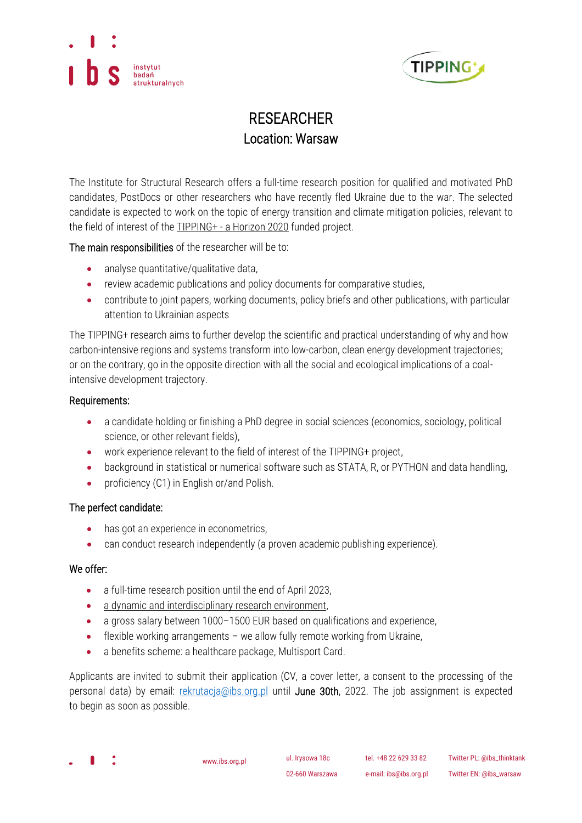



## RESEARCHER Location: Warsaw

The Institute for Structural Research offers a full-time research position for qualified and motivated PhD candidates, PostDocs or other researchers who have recently fled Ukraine due to the war. The selected candidate is expected to work on the topic of energy transition and climate mitigation policies, relevant to the field of interest of the **TIPPING+** - [a Horizon 2020](https://tipping-plus.eu/home) funded project.

The main responsibilities of the researcher will be to:

- analyse quantitative/qualitative data,
- review academic publications and policy documents for comparative studies,
- contribute to joint papers, working documents, policy briefs and other publications, with particular attention to Ukrainian aspects

The TIPPING+ research aims to further develop the scientific and practical understanding of why and how carbon-intensive regions and systems transform into low-carbon, clean energy development trajectories; or on the contrary, go in the opposite direction with all the social and ecological implications of a coalintensive development trajectory.

## Requirements:

- a candidate holding or finishing a PhD degree in social sciences (economics, sociology, political science, or other relevant fields),
- work experience relevant to the field of interest of the TIPPING+ project,
- background in statistical or numerical software such as STATA, R, or PYTHON and data handling,
- proficiency (C1) in English or/and Polish.

## The perfect candidate:

- has got an experience in econometrics,
- can conduct research independently (a proven academic publishing experience).

## We offer:

- a full-time research position until the end of April 2023,
- [a dynamic and interdisciplinary research environment,](https://ibs.org.pl/en/research-en/)
- a gross salary between 1000-1500 EUR based on qualifications and experience,
- flexible working arrangements we allow fully remote working from Ukraine,
- a benefits scheme: a healthcare package, Multisport Card.

Applicants are invited to submit their application (CV, a cover letter, a consent to the processing of the personal data) by email: [rekrutacja@ibs.org.pl](mailto:rekrutacja@ibs.org.pl) until June 30th, 2022. The job assignment is expected to begin as soon as possible.